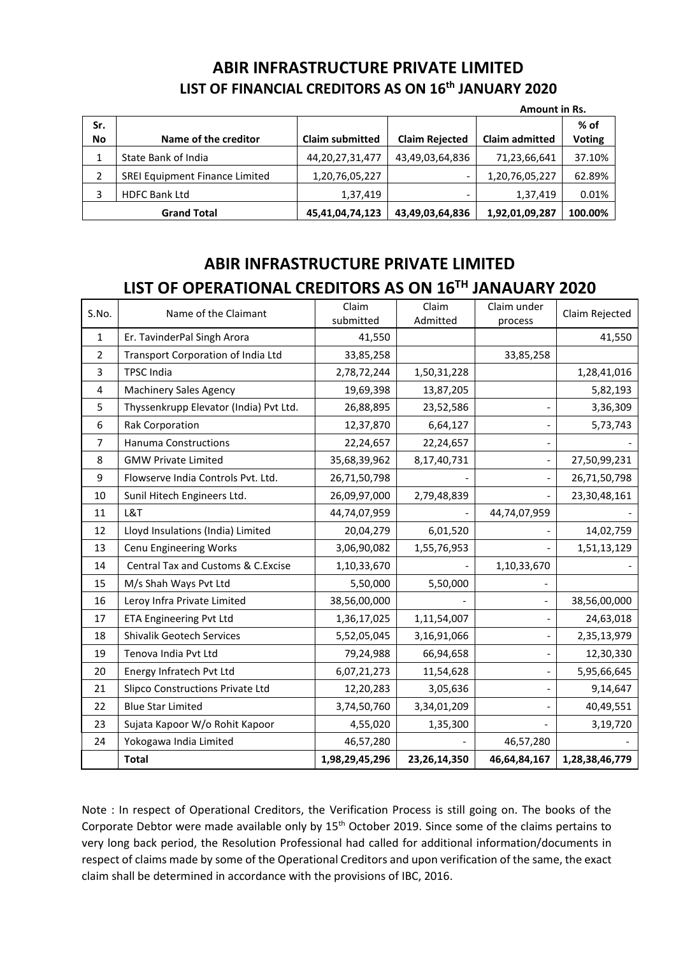## **ABIR INFRASTRUCTURE PRIVATE LIMITED LIST OF FINANCIAL CREDITORS AS ON 16th JANUARY 2020**

|                    | Amount in Rs.                         |                        |                       |                       |                       |
|--------------------|---------------------------------------|------------------------|-----------------------|-----------------------|-----------------------|
| Sr.<br><b>No</b>   | Name of the creditor                  | <b>Claim submitted</b> | <b>Claim Rejected</b> | <b>Claim admitted</b> | % of<br><b>Voting</b> |
|                    |                                       |                        |                       |                       |                       |
|                    | State Bank of India                   | 44, 20, 27, 31, 477    | 43,49,03,64,836       | 71,23,66,641          | 37.10%                |
| 2                  | <b>SREI Equipment Finance Limited</b> | 1,20,76,05,227         | -                     | 1,20,76,05,227        | 62.89%                |
| 3                  | <b>HDFC Bank Ltd</b>                  | 1,37,419               | -                     | 1,37,419              | 0.01%                 |
| <b>Grand Total</b> |                                       | 45,41,04,74,123        | 43,49,03,64,836       | 1,92,01,09,287        | 100.00%               |

## **ABIR INFRASTRUCTURE PRIVATE LIMITED LIST OF OPERATIONAL CREDITORS AS ON 16TH JANAUARY 2020**

| S.No.          | Name of the Claimant                   | Claim          | Claim        | Claim under    | Claim Rejected |
|----------------|----------------------------------------|----------------|--------------|----------------|----------------|
|                |                                        | submitted      | Admitted     | process        |                |
| $\mathbf{1}$   | Er. TavinderPal Singh Arora            | 41,550         |              |                | 41,550         |
| $\overline{2}$ | Transport Corporation of India Ltd     | 33,85,258      |              | 33,85,258      |                |
| 3              | <b>TPSC India</b>                      | 2,78,72,244    | 1,50,31,228  |                | 1,28,41,016    |
| 4              | <b>Machinery Sales Agency</b>          | 19,69,398      | 13,87,205    |                | 5,82,193       |
| 5              | Thyssenkrupp Elevator (India) Pvt Ltd. | 26,88,895      | 23,52,586    |                | 3,36,309       |
| 6              | <b>Rak Corporation</b>                 | 12,37,870      | 6,64,127     |                | 5,73,743       |
| $\overline{7}$ | <b>Hanuma Constructions</b>            | 22,24,657      | 22,24,657    |                |                |
| 8              | <b>GMW Private Limited</b>             | 35,68,39,962   | 8,17,40,731  | $\overline{a}$ | 27,50,99,231   |
| 9              | Flowserve India Controls Pyt. Ltd.     | 26,71,50,798   |              |                | 26,71,50,798   |
| 10             | Sunil Hitech Engineers Ltd.            | 26,09,97,000   | 2,79,48,839  |                | 23,30,48,161   |
| 11             | L&T                                    | 44,74,07,959   |              | 44,74,07,959   |                |
| 12             | Lloyd Insulations (India) Limited      | 20,04,279      | 6,01,520     |                | 14,02,759      |
| 13             | Cenu Engineering Works                 | 3,06,90,082    | 1,55,76,953  |                | 1,51,13,129    |
| 14             | Central Tax and Customs & C.Excise     | 1,10,33,670    |              | 1,10,33,670    |                |
| 15             | M/s Shah Ways Pvt Ltd                  | 5,50,000       | 5,50,000     |                |                |
| 16             | Leroy Infra Private Limited            | 38,56,00,000   |              | $\frac{1}{2}$  | 38,56,00,000   |
| 17             | <b>ETA Engineering Pvt Ltd</b>         | 1,36,17,025    | 1,11,54,007  |                | 24,63,018      |
| 18             | <b>Shivalik Geotech Services</b>       | 5,52,05,045    | 3,16,91,066  |                | 2,35,13,979    |
| 19             | Tenova India Pvt Ltd                   | 79,24,988      | 66,94,658    |                | 12,30,330      |
| 20             | Energy Infratech Pvt Ltd               | 6,07,21,273    | 11,54,628    |                | 5,95,66,645    |
| 21             | Slipco Constructions Private Ltd       | 12,20,283      | 3,05,636     |                | 9,14,647       |
| 22             | <b>Blue Star Limited</b>               | 3,74,50,760    | 3,34,01,209  |                | 40,49,551      |
| 23             | Sujata Kapoor W/o Rohit Kapoor         | 4,55,020       | 1,35,300     |                | 3,19,720       |
| 24             | Yokogawa India Limited                 | 46,57,280      |              | 46,57,280      |                |
|                | <b>Total</b>                           | 1,98,29,45,296 | 23,26,14,350 | 46,64,84,167   | 1,28,38,46,779 |

Note : In respect of Operational Creditors, the Verification Process is still going on. The books of the Corporate Debtor were made available only by 15<sup>th</sup> October 2019. Since some of the claims pertains to very long back period, the Resolution Professional had called for additional information/documents in respect of claims made by some of the Operational Creditors and upon verification of the same, the exact claim shall be determined in accordance with the provisions of IBC, 2016.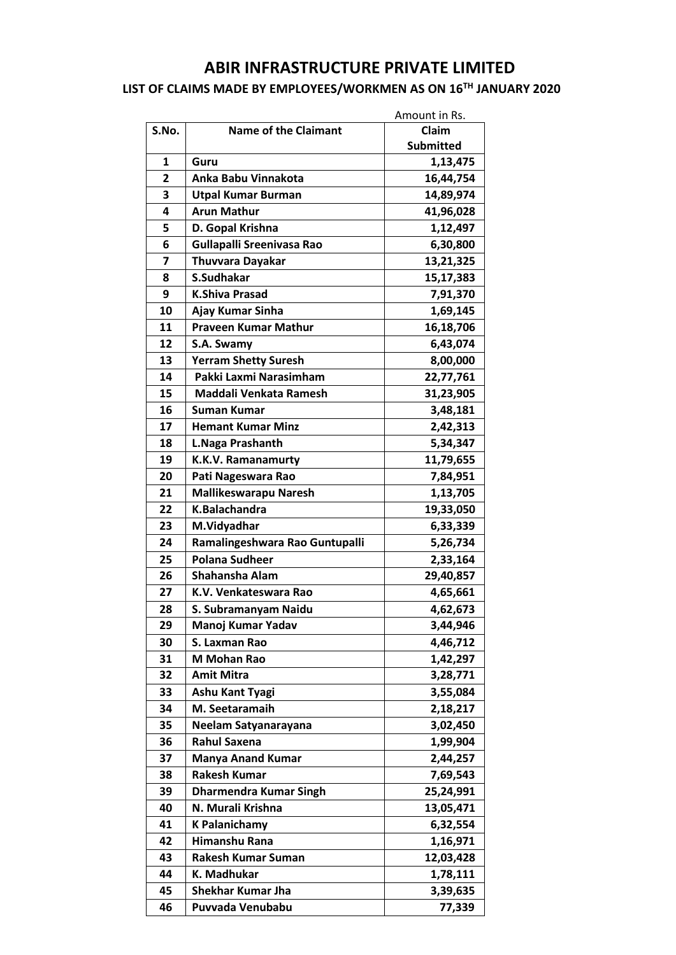## **ABIR INFRASTRUCTURE PRIVATE LIMITED**

## **LIST OF CLAIMS MADE BY EMPLOYEES/WORKMEN AS ON 16TH JANUARY 2020**

|       | Amount in Rs.                    |                  |
|-------|----------------------------------|------------------|
| S.No. | <b>Name of the Claimant</b>      | Claim            |
|       |                                  | <b>Submitted</b> |
| 1     | Guru                             | 1,13,475         |
| 2     | Anka Babu Vinnakota              | 16,44,754        |
| 3     | <b>Utpal Kumar Burman</b>        | 14,89,974        |
| 4     | <b>Arun Mathur</b>               | 41,96,028        |
| 5     | D. Gopal Krishna                 | 1,12,497         |
| 6     | <b>Gullapalli Sreenivasa Rao</b> | 6,30,800         |
| 7     | <b>Thuvvara Dayakar</b>          | 13,21,325        |
| 8     | S.Sudhakar                       | 15,17,383        |
| 9     | <b>K.Shiva Prasad</b>            | 7,91,370         |
| 10    | Ajay Kumar Sinha                 | 1,69,145         |
| 11    | <b>Praveen Kumar Mathur</b>      | 16,18,706        |
| 12    | S.A. Swamy                       | 6,43,074         |
| 13    | <b>Yerram Shetty Suresh</b>      | 8,00,000         |
| 14    | Pakki Laxmi Narasimham           | 22,77,761        |
| 15    | Maddali Venkata Ramesh           | 31,23,905        |
| 16    | <b>Suman Kumar</b>               | 3,48,181         |
| 17    | <b>Hemant Kumar Minz</b>         | 2,42,313         |
| 18    | L.Naga Prashanth                 | 5,34,347         |
| 19    | <b>K.K.V. Ramanamurty</b>        | 11,79,655        |
| 20    | Pati Nageswara Rao               | 7,84,951         |
| 21    | <b>Mallikeswarapu Naresh</b>     | 1,13,705         |
| 22    | K.Balachandra                    | 19,33,050        |
| 23    | M.Vidyadhar                      | 6,33,339         |
| 24    | Ramalingeshwara Rao Guntupalli   | 5,26,734         |
| 25    | <b>Polana Sudheer</b>            | 2,33,164         |
| 26    | Shahansha Alam                   | 29,40,857        |
| 27    | K.V. Venkateswara Rao            | 4,65,661         |
| 28    | S. Subramanyam Naidu             | 4,62,673         |
| 29    | Manoj Kumar Yadav                | 3,44,946         |
| 30    | S. Laxman Rao                    | 4,46,712         |
| 31    | M Mohan Rao                      | 1,42,297         |
| 32    | <b>Amit Mitra</b>                | 3,28,771         |
| 33    | <b>Ashu Kant Tyagi</b>           | 3,55,084         |
| 34    | M. Seetaramaih                   | 2,18,217         |
| 35    | Neelam Satyanarayana             | 3,02,450         |
| 36    | <b>Rahul Saxena</b>              | 1,99,904         |
| 37    | <b>Manya Anand Kumar</b>         | 2,44,257         |
| 38    | <b>Rakesh Kumar</b>              | 7,69,543         |
| 39    | <b>Dharmendra Kumar Singh</b>    | 25,24,991        |
| 40    | N. Murali Krishna                | 13,05,471        |
| 41    | <b>K Palanichamy</b>             | 6,32,554         |
| 42    | Himanshu Rana                    | 1,16,971         |
| 43    | <b>Rakesh Kumar Suman</b>        | 12,03,428        |
| 44    | K. Madhukar                      | 1,78,111         |
| 45    | <b>Shekhar Kumar Jha</b>         | 3,39,635         |
| 46    | Puvvada Venubabu                 | 77,339           |